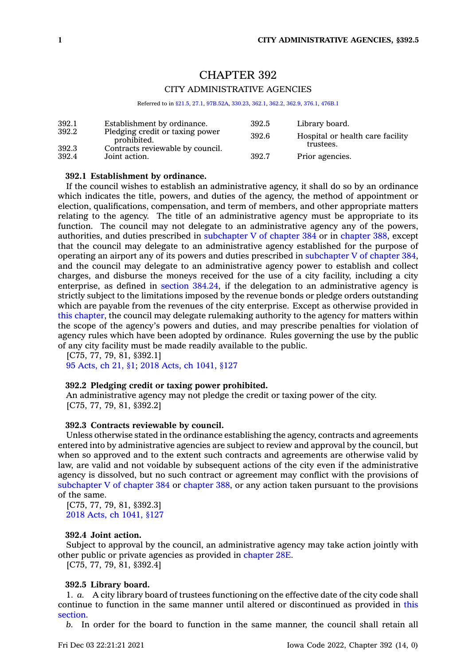# CHAPTER 392 CITY ADMINISTRATIVE AGENCIES

Referred to in [§21.5,](https://www.legis.iowa.gov/docs/code/21.5.pdf) [27.1](https://www.legis.iowa.gov/docs/code/27.1.pdf), [97B.52A](https://www.legis.iowa.gov/docs/code/97B.52A.pdf), [330.23](https://www.legis.iowa.gov/docs/code/330.23.pdf), [362.1](https://www.legis.iowa.gov/docs/code/362.1.pdf), [362.2](https://www.legis.iowa.gov/docs/code/362.2.pdf), [362.9](https://www.legis.iowa.gov/docs/code/362.9.pdf), [376.1](https://www.legis.iowa.gov/docs/code/376.1.pdf), [476B.1](https://www.legis.iowa.gov/docs/code/476B.1.pdf)

| 392.1<br>392.2 | Establishment by ordinance.<br>Pledging credit or taxing power<br>prohibited.<br>Contracts reviewable by council.<br>Joint action. | 392.5<br>392.6 | Library board.<br>Hospital or health care facility<br>trustees. |
|----------------|------------------------------------------------------------------------------------------------------------------------------------|----------------|-----------------------------------------------------------------|
| 392.3<br>392.4 |                                                                                                                                    | 392.7          | Prior agencies.                                                 |

#### **392.1 Establishment by ordinance.**

If the council wishes to establish an administrative agency, it shall do so by an ordinance which indicates the title, powers, and duties of the agency, the method of appointment or election, qualifications, compensation, and term of members, and other appropriate matters relating to the agency. The title of an administrative agency must be appropriate to its function. The council may not delegate to an administrative agency any of the powers, authorities, and duties prescribed in [subchapter](https://www.legis.iowa.gov/docs/code//384.pdf) V of chapter 384 or in [chapter](https://www.legis.iowa.gov/docs/code//388.pdf) 388, except that the council may delegate to an administrative agency established for the purpose of operating an airport any of its powers and duties prescribed in [subchapter](https://www.legis.iowa.gov/docs/code//384.pdf) V of chapter 384, and the council may delegate to an administrative agency power to establish and collect charges, and disburse the moneys received for the use of <sup>a</sup> city facility, including <sup>a</sup> city enterprise, as defined in section [384.24](https://www.legis.iowa.gov/docs/code/384.24.pdf), if the delegation to an administrative agency is strictly subject to the limitations imposed by the revenue bonds or pledge orders outstanding which are payable from the revenues of the city enterprise. Except as otherwise provided in this [chapter](https://www.legis.iowa.gov/docs/code//392.pdf), the council may delegate rulemaking authority to the agency for matters within the scope of the agency's powers and duties, and may prescribe penalties for violation of agency rules which have been adopted by ordinance. Rules governing the use by the public of any city facility must be made readily available to the public.

[C75, 77, 79, 81, §392.1] 95 [Acts,](https://www.legis.iowa.gov/docs/acts/1995/CH0021.pdf) ch 21, §1; 2018 Acts, ch [1041,](https://www.legis.iowa.gov/docs/acts/2018/CH1041.pdf) §127

## **392.2 Pledging credit or taxing power prohibited.**

An administrative agency may not pledge the credit or taxing power of the city. [C75, 77, 79, 81, §392.2]

## **392.3 Contracts reviewable by council.**

Unless otherwise stated in the ordinance establishing the agency, contracts and agreements entered into by administrative agencies are subject to review and approval by the council, but when so approved and to the extent such contracts and agreements are otherwise valid by law, are valid and not voidable by subsequent actions of the city even if the administrative agency is dissolved, but no such contract or agreement may conflict with the provisions of [subchapter](https://www.legis.iowa.gov/docs/code//384.pdf) V of chapter 384 or [chapter](https://www.legis.iowa.gov/docs/code//388.pdf) 388, or any action taken pursuant to the provisions of the same.

[C75, 77, 79, 81, §392.3] 2018 Acts, ch [1041,](https://www.legis.iowa.gov/docs/acts/2018/CH1041.pdf) §127

## **392.4 Joint action.**

Subject to approval by the council, an administrative agency may take action jointly with other public or private agencies as provided in [chapter](https://www.legis.iowa.gov/docs/code//28E.pdf) 28E.

[C75, 77, 79, 81, §392.4]

#### **392.5 Library board.**

1. *a.* A city library board of trustees functioning on the effective date of the city code shall continue to function in the same manner until altered or discontinued as provided in [this](https://www.legis.iowa.gov/docs/code/392.5.pdf) [section](https://www.legis.iowa.gov/docs/code/392.5.pdf).

*b.* In order for the board to function in the same manner, the council shall retain all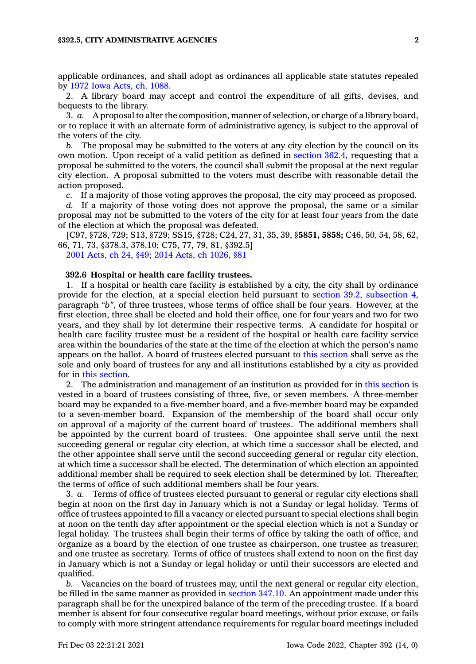applicable ordinances, and shall adopt as ordinances all applicable state statutes repealed by 1972 Iowa [Acts,](https://www.legis.iowa.gov/docs/acts/1972/CH1088.pdf) ch. 1088.

2. A library board may accept and control the expenditure of all gifts, devises, and bequests to the library.

3. *a.* A proposal to alter the composition, manner of selection, or charge of <sup>a</sup> library board, or to replace it with an alternate form of administrative agency, is subject to the approval of the voters of the city.

*b.* The proposal may be submitted to the voters at any city election by the council on its own motion. Upon receipt of <sup>a</sup> valid petition as defined in [section](https://www.legis.iowa.gov/docs/code/362.4.pdf) 362.4, requesting that <sup>a</sup> proposal be submitted to the voters, the council shall submit the proposal at the next regular city election. A proposal submitted to the voters must describe with reasonable detail the action proposed.

*c.* If <sup>a</sup> majority of those voting approves the proposal, the city may proceed as proposed.

*d.* If <sup>a</sup> majority of those voting does not approve the proposal, the same or <sup>a</sup> similar proposal may not be submitted to the voters of the city for at least four years from the date of the election at which the proposal was defeated.

[C97, §728, 729; S13, §729; SS15, §728; C24, 27, 31, 35, 39, §**5851, 5858;** C46, 50, 54, 58, 62, 66, 71, 73, §378.3, 378.10; C75, 77, 79, 81, §392.5]

2001 [Acts,](https://www.legis.iowa.gov/docs/acts/2001/CH0024.pdf) ch 24, §49; 2014 Acts, ch [1026,](https://www.legis.iowa.gov/docs/acts/2014/CH1026.pdf) §81

#### **392.6 Hospital or health care facility trustees.**

1. If <sup>a</sup> hospital or health care facility is established by <sup>a</sup> city, the city shall by ordinance provide for the election, at <sup>a</sup> special election held pursuant to section 39.2, [subsection](https://www.legis.iowa.gov/docs/code/39.2.pdf) 4, paragraph *"b"*, of three trustees, whose terms of office shall be four years. However, at the first election, three shall be elected and hold their office, one for four years and two for two years, and they shall by lot determine their respective terms. A candidate for hospital or health care facility trustee must be <sup>a</sup> resident of the hospital or health care facility service area within the boundaries of the state at the time of the election at which the person's name appears on the ballot. A board of trustees elected pursuant to this [section](https://www.legis.iowa.gov/docs/code/392.6.pdf) shall serve as the sole and only board of trustees for any and all institutions established by <sup>a</sup> city as provided for in this [section](https://www.legis.iowa.gov/docs/code/392.6.pdf).

2. The administration and management of an institution as provided for in this [section](https://www.legis.iowa.gov/docs/code/392.6.pdf) is vested in <sup>a</sup> board of trustees consisting of three, five, or seven members. A three-member board may be expanded to <sup>a</sup> five-member board, and <sup>a</sup> five-member board may be expanded to <sup>a</sup> seven-member board. Expansion of the membership of the board shall occur only on approval of <sup>a</sup> majority of the current board of trustees. The additional members shall be appointed by the current board of trustees. One appointee shall serve until the next succeeding general or regular city election, at which time <sup>a</sup> successor shall be elected, and the other appointee shall serve until the second succeeding general or regular city election, at which time <sup>a</sup> successor shall be elected. The determination of which election an appointed additional member shall be required to seek election shall be determined by lot. Thereafter, the terms of office of such additional members shall be four years.

3. *a.* Terms of office of trustees elected pursuant to general or regular city elections shall begin at noon on the first day in January which is not <sup>a</sup> Sunday or legal holiday. Terms of office of trustees appointed to fill <sup>a</sup> vacancy or elected pursuant to special elections shall begin at noon on the tenth day after appointment or the special election which is not <sup>a</sup> Sunday or legal holiday. The trustees shall begin their terms of office by taking the oath of office, and organize as <sup>a</sup> board by the election of one trustee as chairperson, one trustee as treasurer, and one trustee as secretary. Terms of office of trustees shall extend to noon on the first day in January which is not <sup>a</sup> Sunday or legal holiday or until their successors are elected and qualified.

*b.* Vacancies on the board of trustees may, until the next general or regular city election, be filled in the same manner as provided in [section](https://www.legis.iowa.gov/docs/code/347.10.pdf) 347.10. An appointment made under this paragraph shall be for the unexpired balance of the term of the preceding trustee. If <sup>a</sup> board member is absent for four consecutive regular board meetings, without prior excuse, or fails to comply with more stringent attendance requirements for regular board meetings included